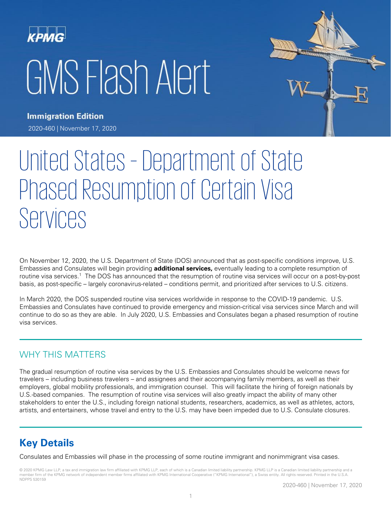# KPMG GMS Flash Alert



**Immigration Edition** 2020-460 | November 17, 2020

# United States – Department of State Phased Resumption of Certain Visa Services

On November 12, 2020, the U.S. Department of State (DOS) announced that as post-specific conditions improve, U.S. Embassies and Consulates will begin providing **additional services,** eventually leading to a complete resumption of routine visa services.<sup>1</sup> The DOS has announced that the resumption of routine visa services will occur on a post-by-post basis, as post-specific – largely coronavirus-related – conditions permit, and prioritized after services to U.S. citizens.

In March 2020, the DOS suspended routine visa services worldwide in response to the COVID-19 pandemic. U.S. Embassies and Consulates have continued to provide emergency and mission-critical visa services since March and will continue to do so as they are able. In July 2020, U.S. Embassies and Consulates began a phased resumption of routine visa services.

## WHY THIS MATTERS

The gradual resumption of routine visa services by the U.S. Embassies and Consulates should be welcome news for travelers – including business travelers – and assignees and their accompanying family members, as well as their employers, global mobility professionals, and immigration counsel. This will facilitate the hiring of foreign nationals by U.S.-based companies. The resumption of routine visa services will also greatly impact the ability of many other stakeholders to enter the U.S., including foreign national students, researchers, academics, as well as athletes, actors, artists, and entertainers, whose travel and entry to the U.S. may have been impeded due to U.S. Consulate closures.

# **Key Details**

Consulates and Embassies will phase in the processing of some routine immigrant and nonimmigrant visa cases.

© 2020 KPMG Law LLP, a tax and immigration law firm affiliated with KPMG LLP, each of which is a Canadian limited liability partnership. KPMG LLP is a Canadian limited liability partnership and a member firm of the KPMG network of independent member firms affiliated with KPMG International Cooperative ("KPMG International"), a Swiss entity. All rights reserved. Printed in the U.S.A. NDPPS 530159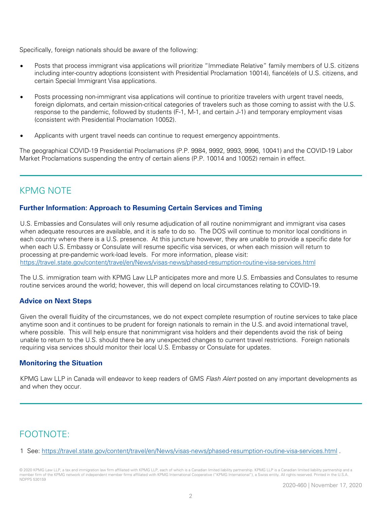Specifically, foreign nationals should be aware of the following:

- Posts that process immigrant visa applications will prioritize "Immediate Relative" family members of U.S. citizens including inter-country adoptions (consistent with Presidential Proclamation 10014), fiancé(e)s of U.S. citizens, and certain Special Immigrant Visa applications.
- Posts processing non-immigrant visa applications will continue to prioritize travelers with urgent travel needs, foreign diplomats, and certain mission-critical categories of travelers such as those coming to assist with the U.S. response to the pandemic, followed by students (F-1, M-1, and certain J-1) and temporary employment visas (consistent with Presidential Proclamation 10052).
- Applicants with urgent travel needs can continue to request emergency appointments.

The geographical COVID-19 Presidential Proclamations (P.P. 9984, 9992, 9993, 9996, 10041) and the COVID-19 Labor Market Proclamations suspending the entry of certain aliens (P.P. 10014 and 10052) remain in effect.

# KPMG NOTE

#### **Further Information: Approach to Resuming Certain Services and Timing**

U.S. Embassies and Consulates will only resume adjudication of all routine nonimmigrant and immigrant visa cases when adequate resources are available, and it is safe to do so. The DOS will continue to monitor local conditions in each country where there is a U.S. presence. At this juncture however, they are unable to provide a specific date for when each U.S. Embassy or Consulate will resume specific visa services, or when each mission will return to processing at pre-pandemic work-load levels. For more information, please visit: <https://travel.state.gov/content/travel/en/News/visas-news/phased-resumption-routine-visa-services.html>

The U.S. immigration team with KPMG Law LLP anticipates more and more U.S. Embassies and Consulates to resume routine services around the world; however, this will depend on local circumstances relating to COVID-19.

#### **Advice on Next Steps**

Given the overall fluidity of the circumstances, we do not expect complete resumption of routine services to take place anytime soon and it continues to be prudent for foreign nationals to remain in the U.S. and avoid international travel, where possible. This will help ensure that nonimmigrant visa holders and their dependents avoid the risk of being unable to return to the U.S. should there be any unexpected changes to current travel restrictions. Foreign nationals requiring visa services should monitor their local U.S. Embassy or Consulate for updates.

#### **Monitoring the Situation**

KPMG Law LLP in Canada will endeavor to keep readers of GMS Flash Alert posted on any important developments as and when they occur.

## FOOTNOTE:

1 See:<https://travel.state.gov/content/travel/en/News/visas-news/phased-resumption-routine-visa-services.html> .

© 2020 KPMG Law LLP, a tax and immigration law firm affiliated with KPMG LLP, each of which is a Canadian limited liability partnership. KPMG LLP is a Canadian limited liability partnership and a member firm of the KPMG network of independent member firms affiliated with KPMG International Cooperative ("KPMG International"), a Swiss entity. All rights reserved. Printed in the U.S.A. NDPPS 530159